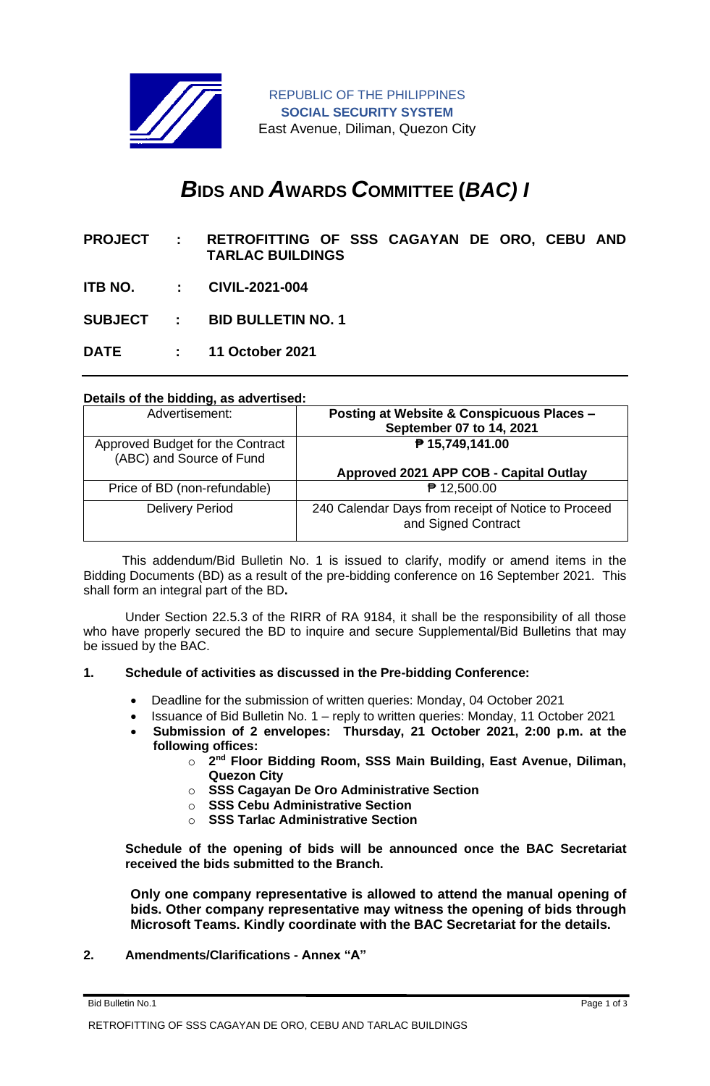

REPUBLIC OF THE PHILIPPINES **SOCIAL SECURITY SYSTEM** East Avenue, Diliman, Quezon City

# *B***IDS AND** *A***WARDS** *C***OMMITTEE (***BAC) I*

- **PROJECT : RETROFITTING OF SSS CAGAYAN DE ORO, CEBU AND TARLAC BUILDINGS**
- **ITB NO. : CIVIL-2021-004**
- **SUBJECT : BID BULLETIN NO. 1**
- **DATE : 11 October 2021**

### **Details of the bidding, as advertised:**

| Advertisement:                                               | Posting at Website & Conspicuous Places -<br>September 07 to 14, 2021      |
|--------------------------------------------------------------|----------------------------------------------------------------------------|
| Approved Budget for the Contract<br>(ABC) and Source of Fund | ₱ 15,749,141.00                                                            |
|                                                              | Approved 2021 APP COB - Capital Outlay                                     |
| Price of BD (non-refundable)                                 | ₱ 12,500.00                                                                |
| <b>Delivery Period</b>                                       | 240 Calendar Days from receipt of Notice to Proceed<br>and Signed Contract |

 This addendum/Bid Bulletin No. 1 is issued to clarify, modify or amend items in the Bidding Documents (BD) as a result of the pre-bidding conference on 16 September 2021. This shall form an integral part of the BD**.**

Under Section 22.5.3 of the RIRR of RA 9184, it shall be the responsibility of all those who have properly secured the BD to inquire and secure Supplemental/Bid Bulletins that may be issued by the BAC.

### **1. Schedule of activities as discussed in the Pre-bidding Conference:**

- Deadline for the submission of written queries: Monday, 04 October 2021
- Issuance of Bid Bulletin No. 1 reply to written queries: Monday, 11 October 2021
- **Submission of 2 envelopes: Thursday, 21 October 2021, 2:00 p.m. at the following offices:**
	- o **2 nd Floor Bidding Room, SSS Main Building, East Avenue, Diliman, Quezon City**
	- o **SSS Cagayan De Oro Administrative Section**
	- o **SSS Cebu Administrative Section**
	- o **SSS Tarlac Administrative Section**

**Schedule of the opening of bids will be announced once the BAC Secretariat received the bids submitted to the Branch.** 

**Only one company representative is allowed to attend the manual opening of bids. Other company representative may witness the opening of bids through Microsoft Teams. Kindly coordinate with the BAC Secretariat for the details.**

**2. Amendments/Clarifications - Annex "A"** 

Bid Bulletin No.1 Page 1 of 3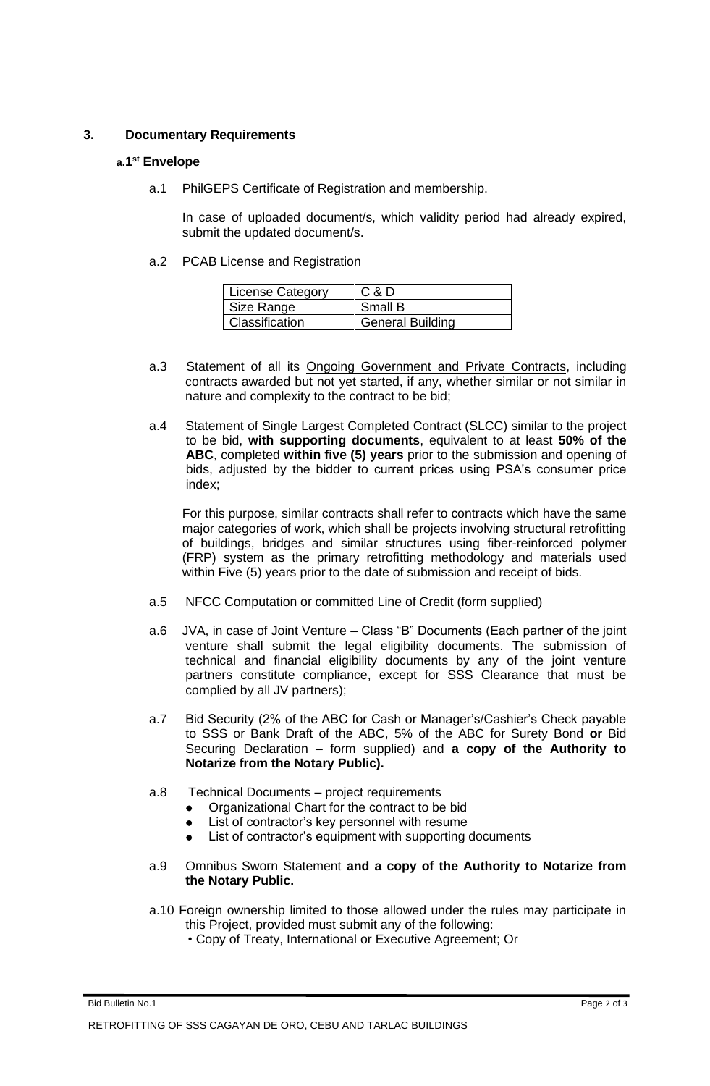# **3. Documentary Requirements**

## **a.1 st Envelope**

a.1 PhilGEPS Certificate of Registration and membership.

In case of uploaded document/s, which validity period had already expired, submit the updated document/s.

a.2 PCAB License and Registration

| <b>License Category</b> | C & D                   |
|-------------------------|-------------------------|
| Size Range              | Small B                 |
| Classification          | <b>General Building</b> |

- a.3 Statement of all its **Ongoing Government and Private Contracts**, including contracts awarded but not yet started, if any, whether similar or not similar in nature and complexity to the contract to be bid;
- a.4 Statement of Single Largest Completed Contract (SLCC) similar to the project to be bid, **with supporting documents**, equivalent to at least **50% of the ABC**, completed **within five (5) years** prior to the submission and opening of bids, adjusted by the bidder to current prices using PSA's consumer price index;

For this purpose, similar contracts shall refer to contracts which have the same major categories of work, which shall be projects involving structural retrofitting of buildings, bridges and similar structures using fiber-reinforced polymer (FRP) system as the primary retrofitting methodology and materials used within Five (5) years prior to the date of submission and receipt of bids.

- a.5 NFCC Computation or committed Line of Credit (form supplied)
- a.6 JVA, in case of Joint Venture Class "B" Documents (Each partner of the joint venture shall submit the legal eligibility documents. The submission of technical and financial eligibility documents by any of the joint venture partners constitute compliance, except for SSS Clearance that must be complied by all JV partners);
- a.7 Bid Security (2% of the ABC for Cash or Manager's/Cashier's Check payable to SSS or Bank Draft of the ABC, 5% of the ABC for Surety Bond **or** Bid Securing Declaration – form supplied) and **a copy of the Authority to Notarize from the Notary Public).**
- a.8 Technical Documents project requirements
	- Organizational Chart for the contract to be bid
	- List of contractor's key personnel with resume
	- ⚫ List of contractor's equipment with supporting documents
- a.9 Omnibus Sworn Statement **and a copy of the Authority to Notarize from the Notary Public.**
- a.10 Foreign ownership limited to those allowed under the rules may participate in this Project, provided must submit any of the following:
	- Copy of Treaty, International or Executive Agreement; Or